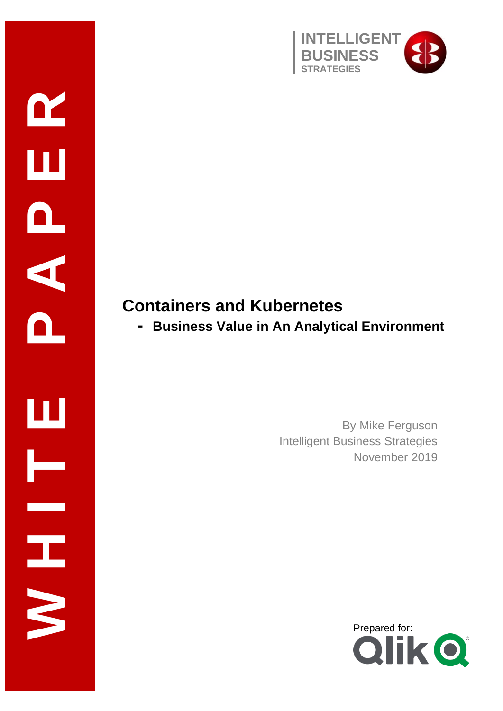

### **Containers and Kubernetes**

**W H I T E P A P E R**

 $\mathbf{\Omega}$ 

 $\mathbf{a}$ 

A

Ш

Ŧ

**- Business Value in An Analytical Environment**

By Mike Ferguson Intelligent Business Strategies November 2019

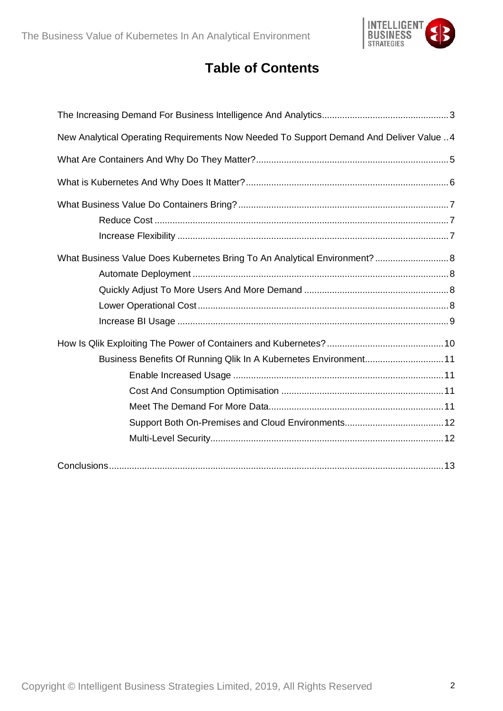

### **Table of Contents**

| New Analytical Operating Requirements Now Needed To Support Demand And Deliver Value  4 |
|-----------------------------------------------------------------------------------------|
|                                                                                         |
|                                                                                         |
|                                                                                         |
|                                                                                         |
|                                                                                         |
| What Business Value Does Kubernetes Bring To An Analytical Environment?  8              |
|                                                                                         |
|                                                                                         |
|                                                                                         |
|                                                                                         |
|                                                                                         |
| Business Benefits Of Running Qlik In A Kubernetes Environment11                         |
|                                                                                         |
|                                                                                         |
|                                                                                         |
|                                                                                         |
|                                                                                         |
|                                                                                         |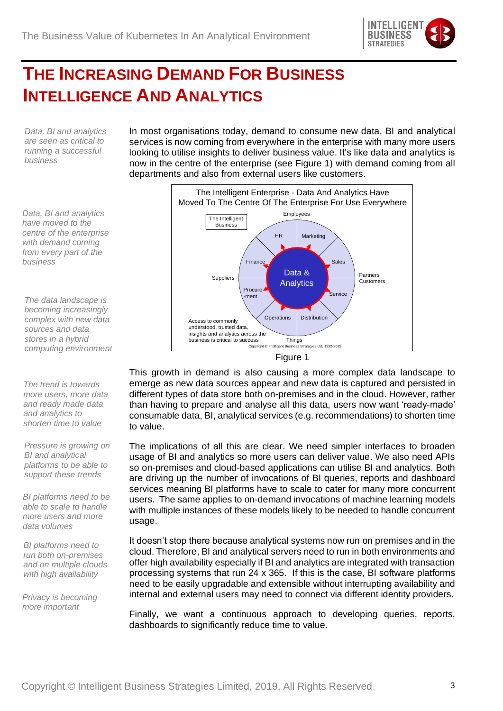

## <span id="page-2-0"></span>**THE INCREASING DEMAND FOR BUSINESS INTELLIGENCE AND ANALYTICS**

*Data, BI and analytics are seen as critical to running a successful business*

*Data, BI and analytics have moved to the centre of the enterprise with demand coming from every part of the business* 

*The data landscape is becoming increasingly complex with new data sources and data stores in a hybrid computing environment*

*The trend is towards more users, more data and ready made data and analytics to shorten time to value*

*Pressure is growing on BI and analytical platforms to be able to support these trends*

*BI platforms need to be able to scale to handle more users and more data volumes*

*BI platforms need to run both on-premises and on multiple clouds with high availability*

*Privacy is becoming more important*

In most organisations today, demand to consume new data, BI and analytical services is now coming from everywhere in the enterprise with many more users looking to utilise insights to deliver business value. It's like data and analytics is now in the centre of the enterprise (see Figure 1) with demand coming from all departments and also from external users like customers.



This growth in demand is also causing a more complex data landscape to emerge as new data sources appear and new data is captured and persisted in different types of data store both on-premises and in the cloud. However, rather than having to prepare and analyse all this data, users now want 'ready-made' consumable data, BI, analytical services (e.g. recommendations) to shorten time to value.

The implications of all this are clear. We need simpler interfaces to broaden usage of BI and analytics so more users can deliver value. We also need APIs so on-premises and cloud-based applications can utilise BI and analytics. Both are driving up the number of invocations of BI queries, reports and dashboard services meaning BI platforms have to scale to cater for many more concurrent users. The same applies to on-demand invocations of machine learning models with multiple instances of these models likely to be needed to handle concurrent usage.

It doesn't stop there because analytical systems now run on premises and in the cloud. Therefore, BI and analytical servers need to run in both environments and offer high availability especially if BI and analytics are integrated with transaction processing systems that run 24 x 365. If this is the case, BI software platforms need to be easily upgradable and extensible without interrupting availability and internal and external users may need to connect via different identity providers.

Finally, we want a continuous approach to developing queries, reports, dashboards to significantly reduce time to value.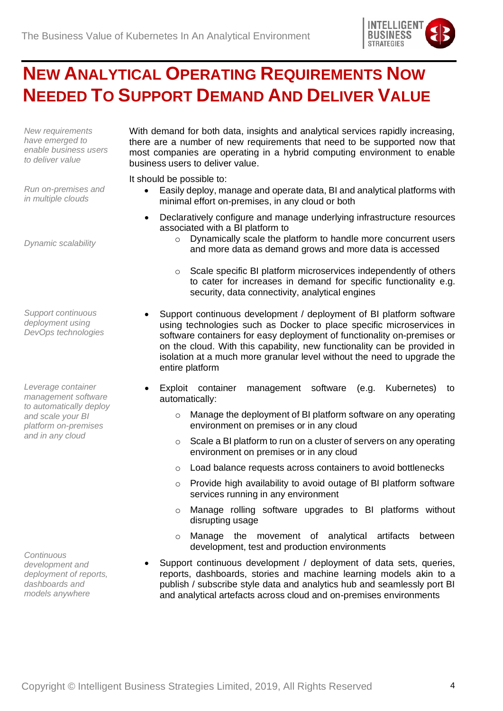

## <span id="page-3-0"></span>**NEW ANALYTICAL OPERATING REQUIREMENTS NOW NEEDED TO SUPPORT DEMAND AND DELIVER VALUE**

*New requirements have emerged to enable business users to deliver value*

With demand for both data, insights and analytical services rapidly increasing, there are a number of new requirements that need to be supported now that most companies are operating in a hybrid computing environment to enable business users to deliver value.

It should be possible to:

- Easily deploy, manage and operate data, BI and analytical platforms with minimal effort on-premises, in any cloud or both
- Declaratively configure and manage underlying infrastructure resources associated with a BI platform to
	- o Dynamically scale the platform to handle more concurrent users and more data as demand grows and more data is accessed
	- o Scale specific BI platform microservices independently of others to cater for increases in demand for specific functionality e.g. security, data connectivity, analytical engines
- Support continuous development / deployment of BI platform software using technologies such as Docker to place specific microservices in software containers for easy deployment of functionality on-premises or on the cloud. With this capability, new functionality can be provided in isolation at a much more granular level without the need to upgrade the entire platform
	- Exploit container management software (e.g. Kubernetes) to automatically:
		- o Manage the deployment of BI platform software on any operating environment on premises or in any cloud
		- o Scale a BI platform to run on a cluster of servers on any operating environment on premises or in any cloud
		- o Load balance requests across containers to avoid bottlenecks
		- o Provide high availability to avoid outage of BI platform software services running in any environment
		- o Manage rolling software upgrades to BI platforms without disrupting usage
		- o Manage the movement of analytical artifacts between development, test and production environments
- Support continuous development / deployment of data sets, queries, reports, dashboards, stories and machine learning models akin to a publish / subscribe style data and analytics hub and seamlessly port BI and analytical artefacts across cloud and on-premises environments

*Run on-premises and in multiple clouds*

*Dynamic scalability*

*Support continuous deployment using DevOps technologies*

*Leverage container management software to automatically deploy and scale your BI platform on-premises and in any cloud*

*Continuous development and deployment of reports, dashboards and models anywhere*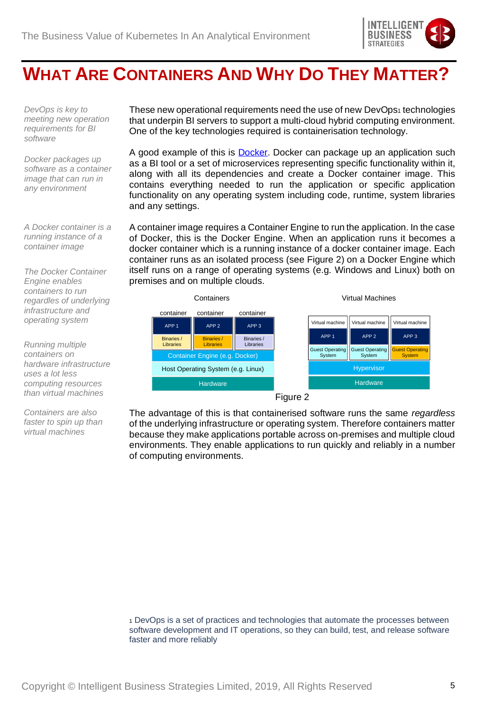

## <span id="page-4-0"></span>**WHAT ARE CONTAINERS AND WHY DO THEY MATTER?**

*DevOps is key to meeting new operation requirements for BI software* 

*Docker packages up software as a container image that can run in any environment*

*A Docker container is a running instance of a container image* 

*The Docker Container Engine enables containers to run regardles of underlying infrastructure and operating system* 

*Running multiple containers on hardware infrastructure uses a lot less computing resources than virtual machines*

*Containers are also faster to spin up than virtual machines* 

These new operational requirements need the use of new DevOps<sub>1</sub> technologies that underpin BI servers to support a multi-cloud hybrid computing environment. One of the key technologies required is containerisation technology.

A good example of this is [Docker.](http://www.docker.com/) Docker can package up an application such as a BI tool or a set of microservices representing specific functionality within it, along with all its dependencies and create a Docker container image. This contains everything needed to run the application or specific application functionality on any operating system including code, runtime, system libraries and any settings.

A container image requires a Container Engine to run the application. In the case of Docker, this is the Docker Engine. When an application runs it becomes a docker container which is a running instance of a docker container image. Each container runs as an isolated process (see Figure 2) on a Docker Engine which itself runs on a range of operating systems (e.g. Windows and Linux) both on premises and on multiple clouds.



Figure 2

The advantage of this is that containerised software runs the same *regardless* of the underlying infrastructure or operating system. Therefore containers matter because they make applications portable across on-premises and multiple cloud environments. They enable applications to run quickly and reliably in a number of computing environments.

<sup>1</sup> DevOps is a set of practices and technologies that automate the processes between software development and IT operations, so they can build, test, and release software faster and more reliably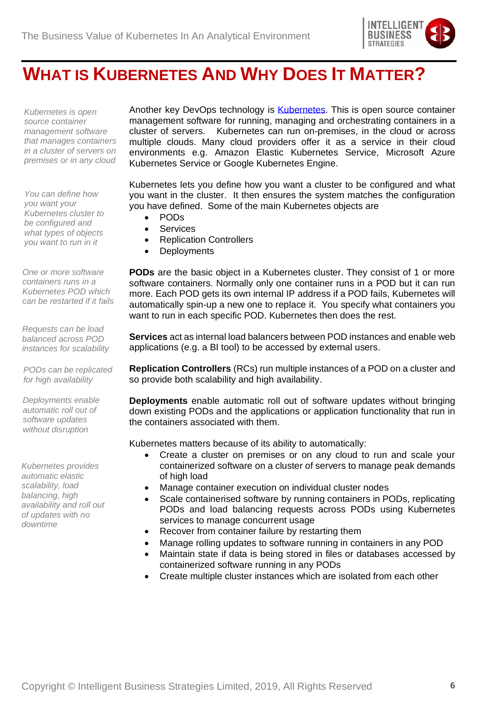

### <span id="page-5-0"></span>**WHAT IS KUBERNETES AND WHY DOES IT MATTER?**

*Kubernetes is open source container management software that manages containers in a cluster of servers on premises or in any cloud*

*You can define how you want your Kubernetes cluster to be configured and what types of objects you want to run in it*

*One or more software containers runs in a Kubernetes POD which can be restarted if it fails*

*Requests can be load balanced across POD instances for scalability*

*PODs can be replicated for high availability*

*Deployments enable automatic roll out of software updates without disruption*

*Kubernetes provides automatic elastic scalability, load balancing, high availability and roll out of updates with no downtime*

Another key DevOps technology is **Kubernetes**. This is open source container management software for running, managing and orchestrating containers in a cluster of servers. Kubernetes can run on-premises, in the cloud or across multiple clouds. Many cloud providers offer it as a service in their cloud environments e.g. Amazon Elastic Kubernetes Service, Microsoft Azure Kubernetes Service or Google Kubernetes Engine.

Kubernetes lets you define how you want a cluster to be configured and what you want in the cluster. It then ensures the system matches the configuration you have defined. Some of the main Kubernetes objects are

- PODs
- **Services**
- Replication Controllers
- Deployments

**PODs** are the basic object in a Kubernetes cluster. They consist of 1 or more software containers. Normally only one container runs in a POD but it can run more. Each POD gets its own internal IP address if a POD fails, Kubernetes will automatically spin-up a new one to replace it. You specify what containers you want to run in each specific POD. Kubernetes then does the rest.

**Services** act as internal load balancers between POD instances and enable web applications (e.g. a BI tool) to be accessed by external users.

**Replication Controllers** (RCs) run multiple instances of a POD on a cluster and so provide both scalability and high availability.

**Deployments** enable automatic roll out of software updates without bringing down existing PODs and the applications or application functionality that run in the containers associated with them.

Kubernetes matters because of its ability to automatically:

- Create a cluster on premises or on any cloud to run and scale your containerized software on a cluster of servers to manage peak demands of high load
- Manage container execution on individual cluster nodes
- Scale containerised software by running containers in PODs, replicating PODs and load balancing requests across PODs using Kubernetes services to manage concurrent usage
- Recover from container failure by restarting them
- Manage rolling updates to software running in containers in any POD
- Maintain state if data is being stored in files or databases accessed by containerized software running in any PODs
- Create multiple cluster instances which are isolated from each other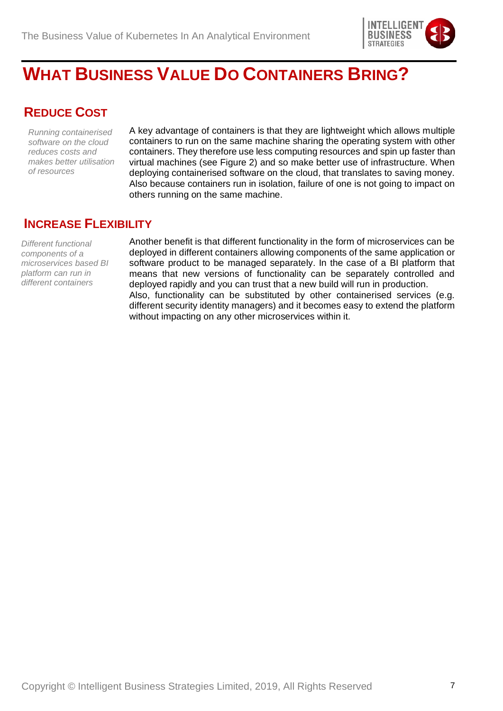

## <span id="page-6-0"></span>**WHAT BUSINESS VALUE DO CONTAINERS BRING?**

### <span id="page-6-1"></span>**REDUCE COST**

*Running containerised software on the cloud reduces costs and makes better utilisation of resources* 

A key advantage of containers is that they are lightweight which allows multiple containers to run on the same machine sharing the operating system with other containers. They therefore use less computing resources and spin up faster than virtual machines (see Figure 2) and so make better use of infrastructure. When deploying containerised software on the cloud, that translates to saving money. Also because containers run in isolation, failure of one is not going to impact on others running on the same machine.

#### <span id="page-6-2"></span>**INCREASE FLEXIBILITY**

*Different functional components of a microservices based BI platform can run in different containers*

Another benefit is that different functionality in the form of microservices can be deployed in different containers allowing components of the same application or software product to be managed separately. In the case of a BI platform that means that new versions of functionality can be separately controlled and deployed rapidly and you can trust that a new build will run in production. Also, functionality can be substituted by other containerised services (e.g. different security identity managers) and it becomes easy to extend the platform without impacting on any other microservices within it.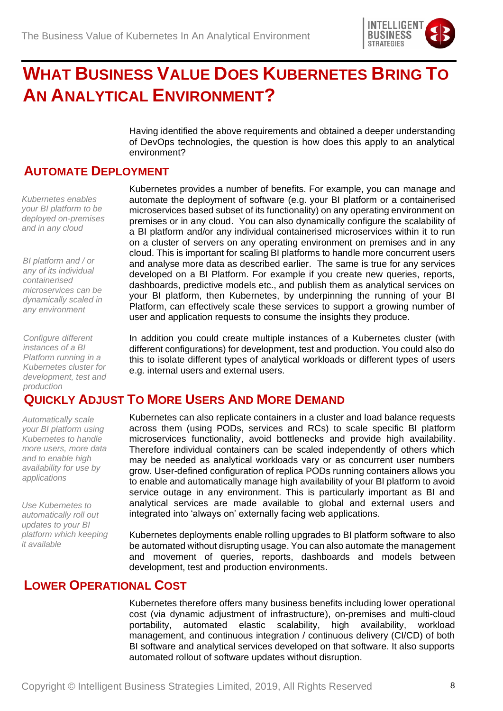

## <span id="page-7-0"></span>**WHAT BUSINESS VALUE DOES KUBERNETES BRING TO AN ANALYTICAL ENVIRONMENT?**

Having identified the above requirements and obtained a deeper understanding of DevOps technologies, the question is how does this apply to an analytical environment?

Kubernetes provides a number of benefits. For example, you can manage and automate the deployment of software (e.g. your BI platform or a containerised microservices based subset of its functionality) on any operating environment on premises or in any cloud. You can also dynamically configure the scalability of a BI platform and/or any individual containerised microservices within it to run on a cluster of servers on any operating environment on premises and in any cloud. This is important for scaling BI platforms to handle more concurrent users and analyse more data as described earlier. The same is true for any services developed on a BI Platform. For example if you create new queries, reports, dashboards, predictive models etc., and publish them as analytical services on your BI platform, then Kubernetes, by underpinning the running of your BI Platform, can effectively scale these services to support a growing number of

user and application requests to consume the insights they produce.

#### <span id="page-7-1"></span>**AUTOMATE DEPLOYMENT**

*Kubernetes enables your BI platform to be deployed on-premises and in any cloud*

*BI platform and / or any of its individual containerised microservices can be dynamically scaled in any environment*

*Configure different instances of a BI Platform running in a Kubernetes cluster for development, test and production*

### <span id="page-7-2"></span>**QUICKLY ADJUST TO MORE USERS AND MORE DEMAND**

e.g. internal users and external users.

*Automatically scale your BI platform using Kubernetes to handle more users, more data and to enable high availability for use by applications*

*Use Kubernetes to automatically roll out updates to your BI platform which keeping it available*

Kubernetes can also replicate containers in a cluster and load balance requests across them (using PODs, services and RCs) to scale specific BI platform microservices functionality, avoid bottlenecks and provide high availability. Therefore individual containers can be scaled independently of others which may be needed as analytical workloads vary or as concurrent user numbers grow. User-defined configuration of replica PODs running containers allows you to enable and automatically manage high availability of your BI platform to avoid service outage in any environment. This is particularly important as BI and analytical services are made available to global and external users and integrated into 'always on' externally facing web applications.

In addition you could create multiple instances of a Kubernetes cluster (with different configurations) for development, test and production. You could also do this to isolate different types of analytical workloads or different types of users

Kubernetes deployments enable rolling upgrades to BI platform software to also be automated without disrupting usage. You can also automate the management and movement of queries, reports, dashboards and models between development, test and production environments.

#### <span id="page-7-3"></span>**LOWER OPERATIONAL COST**

Kubernetes therefore offers many business benefits including lower operational cost (via dynamic adjustment of infrastructure), on-premises and multi-cloud portability, automated elastic scalability, high availability, workload management, and continuous integration / continuous delivery (CI/CD) of both BI software and analytical services developed on that software. It also supports automated rollout of software updates without disruption.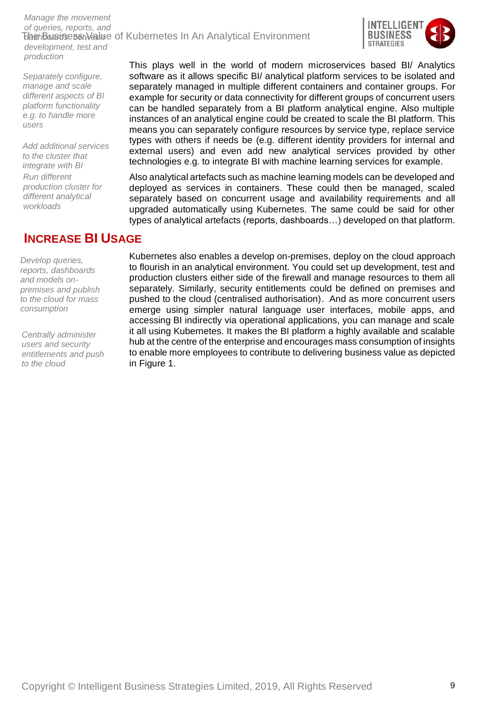The Busine set Welue of Kubernetes In An Analytical Environment *Manage the movement of queries, reports, and development, test and production*



*Separately configure, manage and scale different aspects of BI platform functionality e.g. to handle more users*

*Add additional services to the cluster that integrate with BI Run different production cluster for different analytical workloads* 

### <span id="page-8-0"></span>**INCREASE BI USAGE**

*Develop queries, reports, dashboards and models onpremises and publish to the cloud for mass consumption*

*Centrally administer users and security entitlements and push to the cloud*

This plays well in the world of modern microservices based BI/ Analytics software as it allows specific BI/ analytical platform services to be isolated and separately managed in multiple different containers and container groups. For example for security or data connectivity for different groups of concurrent users can be handled separately from a BI platform analytical engine. Also multiple instances of an analytical engine could be created to scale the BI platform. This means you can separately configure resources by service type, replace service types with others if needs be (e.g. different identity providers for internal and external users) and even add new analytical services provided by other technologies e.g. to integrate BI with machine learning services for example.

Also analytical artefacts such as machine learning models can be developed and deployed as services in containers. These could then be managed, scaled separately based on concurrent usage and availability requirements and all upgraded automatically using Kubernetes. The same could be said for other types of analytical artefacts (reports, dashboards…) developed on that platform.

Kubernetes also enables a develop on-premises, deploy on the cloud approach to flourish in an analytical environment. You could set up development, test and production clusters either side of the firewall and manage resources to them all separately. Similarly, security entitlements could be defined on premises and pushed to the cloud (centralised authorisation). And as more concurrent users emerge using simpler natural language user interfaces, mobile apps, and accessing BI indirectly via operational applications, you can manage and scale it all using Kubernetes. It makes the BI platform a highly available and scalable hub at the centre of the enterprise and encourages mass consumption of insights to enable more employees to contribute to delivering business value as depicted in Figure 1.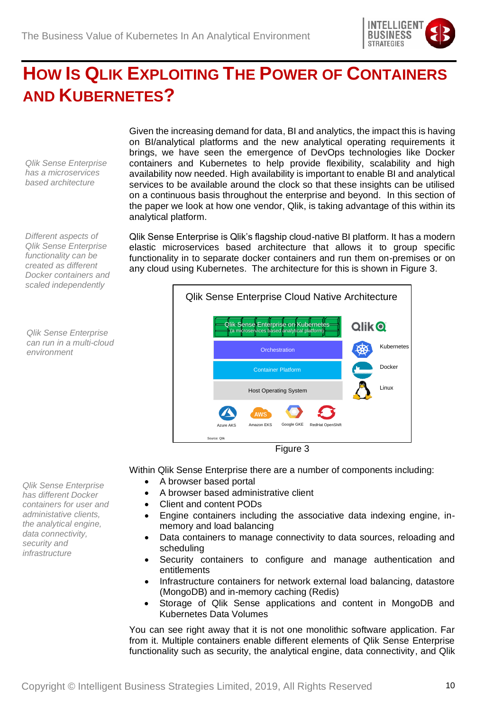

# <span id="page-9-0"></span>**HOW IS QLIK EXPLOITING THE POWER OF CONTAINERS AND KUBERNETES?**

*Qlik Sense Enterprise has a microservices based architecture*

*Different aspects of Qlik Sense Enterprise functionality can be created as different Docker containers and scaled independently* 

*Qlik Sense Enterprise can run in a multi-cloud environment* 

*Qlik Sense Enterprise has different Docker containers for user and administative clients, the analytical engine, data connectivity, security and infrastructure*

Given the increasing demand for data, BI and analytics, the impact this is having on BI/analytical platforms and the new analytical operating requirements it brings, we have seen the emergence of DevOps technologies like Docker containers and Kubernetes to help provide flexibility, scalability and high availability now needed. High availability is important to enable BI and analytical services to be available around the clock so that these insights can be utilised on a continuous basis throughout the enterprise and beyond. In this section of the paper we look at how one vendor, Qlik, is taking advantage of this within its analytical platform.

Qlik Sense Enterprise is Qlik's flagship cloud-native BI platform. It has a modern elastic microservices based architecture that allows it to group specific functionality in to separate docker containers and run them on-premises or on any cloud using Kubernetes. The architecture for this is shown in Figure 3.



Figure 3

Within Qlik Sense Enterprise there are a number of components including:

- A browser based portal
- A browser based administrative client
- Client and content PODs
- Engine containers including the associative data indexing engine, inmemory and load balancing
- Data containers to manage connectivity to data sources, reloading and scheduling
- Security containers to configure and manage authentication and entitlements
- Infrastructure containers for network external load balancing, datastore (MongoDB) and in-memory caching (Redis)
- Storage of Qlik Sense applications and content in MongoDB and Kubernetes Data Volumes

You can see right away that it is not one monolithic software application. Far from it. Multiple containers enable different elements of Qlik Sense Enterprise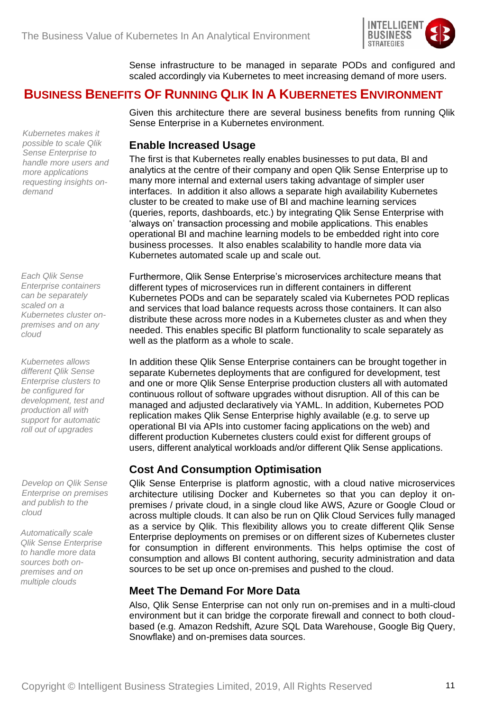

Sense infrastructure to be managed in separate PODs and configured and scaled accordingly via Kubernetes to meet increasing demand of more users.

#### <span id="page-10-0"></span>**BUSINESS BENEFITS OF RUNNING QLIK IN A KUBERNETES ENVIRONMENT**

*Kubernetes makes it possible to scale Qlik Sense Enterprise to handle more users and more applications requesting insights ondemand*

*Each Qlik Sense Enterprise containers can be separately scaled on a Kubernetes cluster onpremises and on any cloud*

*Kubernetes allows different Qlik Sense Enterprise clusters to be configured for development, test and production all with support for automatic roll out of upgrades*

*Develop on Qlik Sense Enterprise on premises and publish to the cloud*

*Automatically scale Qlik Sense Enterprise to handle more data sources both onpremises and on multiple clouds*

Given this architecture there are several business benefits from running Qlik Sense Enterprise in a Kubernetes environment.

#### <span id="page-10-1"></span>**Enable Increased Usage**

The first is that Kubernetes really enables businesses to put data, BI and analytics at the centre of their company and open Qlik Sense Enterprise up to many more internal and external users taking advantage of simpler user interfaces. In addition it also allows a separate high availability Kubernetes cluster to be created to make use of BI and machine learning services (queries, reports, dashboards, etc.) by integrating Qlik Sense Enterprise with 'always on' transaction processing and mobile applications. This enables operational BI and machine learning models to be embedded right into core business processes. It also enables scalability to handle more data via Kubernetes automated scale up and scale out.

Furthermore, Qlik Sense Enterprise's microservices architecture means that different types of microservices run in different containers in different Kubernetes PODs and can be separately scaled via Kubernetes POD replicas and services that load balance requests across those containers. It can also distribute these across more nodes in a Kubernetes cluster as and when they needed. This enables specific BI platform functionality to scale separately as well as the platform as a whole to scale.

In addition these Qlik Sense Enterprise containers can be brought together in separate Kubernetes deployments that are configured for development, test and one or more Qlik Sense Enterprise production clusters all with automated continuous rollout of software upgrades without disruption. All of this can be managed and adjusted declaratively via YAML. In addition, Kubernetes POD replication makes Qlik Sense Enterprise highly available (e.g. to serve up operational BI via APIs into customer facing applications on the web) and different production Kubernetes clusters could exist for different groups of users, different analytical workloads and/or different Qlik Sense applications.

#### <span id="page-10-2"></span>**Cost And Consumption Optimisation**

Qlik Sense Enterprise is platform agnostic, with a cloud native microservices architecture utilising Docker and Kubernetes so that you can deploy it onpremises / private cloud, in a single cloud like AWS, Azure or Google Cloud or across multiple clouds. It can also be run on Qlik Cloud Services fully managed as a service by Qlik. This flexibility allows you to create different Qlik Sense Enterprise deployments on premises or on different sizes of Kubernetes cluster for consumption in different environments. This helps optimise the cost of consumption and allows BI content authoring, security administration and data sources to be set up once on-premises and pushed to the cloud.

#### <span id="page-10-3"></span>**Meet The Demand For More Data**

Also, Qlik Sense Enterprise can not only run on-premises and in a multi-cloud environment but it can bridge the corporate firewall and connect to both cloudbased (e.g. Amazon Redshift, Azure SQL Data Warehouse, Google Big Query, Snowflake) and on-premises data sources.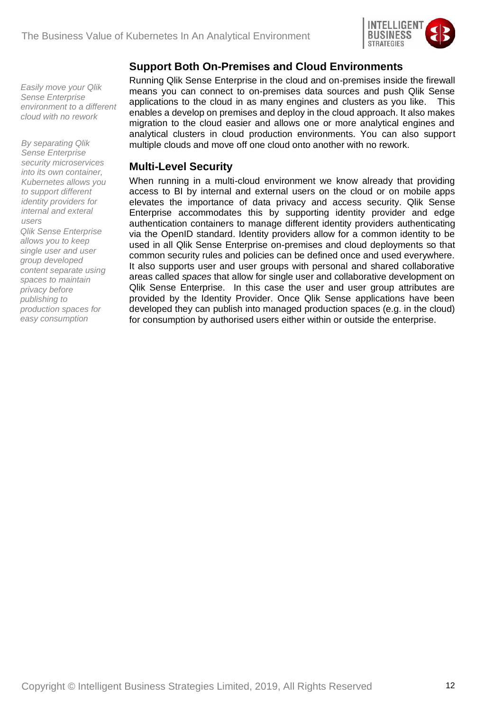

#### <span id="page-11-0"></span>**Support Both On-Premises and Cloud Environments**

*Easily move your Qlik Sense Enterprise environment to a different cloud with no rework*

*By separating Qlik Sense Enterprise security microservices into its own container, Kubernetes allows you to support different identity providers for internal and exteral users Qlik Sense Enterprise allows you to keep single user and user* 

*group developed content separate using spaces to maintain privacy before publishing to production spaces for easy consumption*

Running Qlik Sense Enterprise in the cloud and on-premises inside the firewall means you can connect to on-premises data sources and push Qlik Sense applications to the cloud in as many engines and clusters as you like. This enables a develop on premises and deploy in the cloud approach. It also makes migration to the cloud easier and allows one or more analytical engines and analytical clusters in cloud production environments. You can also support multiple clouds and move off one cloud onto another with no rework.

#### <span id="page-11-1"></span>**Multi-Level Security**

When running in a multi-cloud environment we know already that providing access to BI by internal and external users on the cloud or on mobile apps elevates the importance of data privacy and access security. Qlik Sense Enterprise accommodates this by supporting identity provider and edge authentication containers to manage different identity providers authenticating via the OpenID standard. Identity providers allow for a common identity to be used in all Qlik Sense Enterprise on-premises and cloud deployments so that common security rules and policies can be defined once and used everywhere. It also supports user and user groups with personal and shared collaborative areas called *spaces* that allow for single user and collaborative development on Qlik Sense Enterprise. In this case the user and user group attributes are provided by the Identity Provider. Once Qlik Sense applications have been developed they can publish into managed production spaces (e.g. in the cloud) for consumption by authorised users either within or outside the enterprise.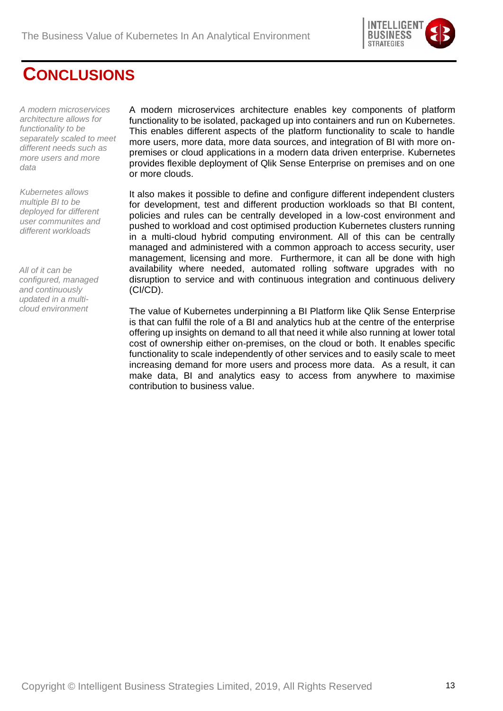

### <span id="page-12-0"></span>**CONCLUSIONS**

*A modern microservices architecture allows for functionality to be separately scaled to meet different needs such as more users and more data* 

*Kubernetes allows multiple BI to be deployed for different user communites and different workloads*

*All of it can be configured, managed and continuously updated in a multicloud environment*

A modern microservices architecture enables key components of platform functionality to be isolated, packaged up into containers and run on Kubernetes. This enables different aspects of the platform functionality to scale to handle more users, more data, more data sources, and integration of BI with more onpremises or cloud applications in a modern data driven enterprise. Kubernetes provides flexible deployment of Qlik Sense Enterprise on premises and on one or more clouds.

It also makes it possible to define and configure different independent clusters for development, test and different production workloads so that BI content, policies and rules can be centrally developed in a low-cost environment and pushed to workload and cost optimised production Kubernetes clusters running in a multi-cloud hybrid computing environment. All of this can be centrally managed and administered with a common approach to access security, user management, licensing and more. Furthermore, it can all be done with high availability where needed, automated rolling software upgrades with no disruption to service and with continuous integration and continuous delivery (CI/CD).

The value of Kubernetes underpinning a BI Platform like Qlik Sense Enterprise is that can fulfil the role of a BI and analytics hub at the centre of the enterprise offering up insights on demand to all that need it while also running at lower total cost of ownership either on-premises, on the cloud or both. It enables specific functionality to scale independently of other services and to easily scale to meet increasing demand for more users and process more data. As a result, it can make data, BI and analytics easy to access from anywhere to maximise contribution to business value.